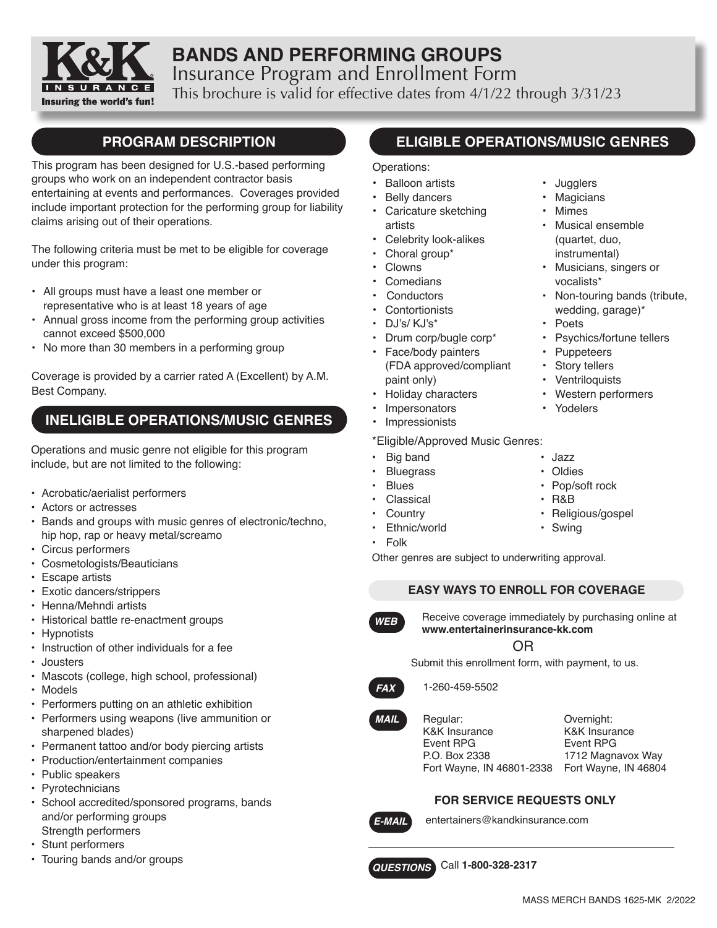

# **BANDS AND PERFORMING GROUPS** Insurance Program and Enrollment Form This brochure is valid for effective dates from 4/1/22 through 3/31/23

# **PROGRAM DESCRIPTION**

This program has been designed for U.S.-based performing groups who work on an independent contractor basis entertaining at events and performances. Coverages provided include important protection for the performing group for liability claims arising out of their operations.

The following criteria must be met to be eligible for coverage under this program:

- All groups must have a least one member or representative who is at least 18 years of age
- Annual gross income from the performing group activities cannot exceed \$500,000
- No more than 30 members in a performing group

Coverage is provided by a carrier rated A (Excellent) by A.M. Best Company.

# **INELIGIBLE OPERATIONS/MUSIC GENRES**

Operations and music genre not eligible for this program include, but are not limited to the following:

- Acrobatic/aerialist performers
- Actors or actresses
- Bands and groups with music genres of electronic/techno, hip hop, rap or heavy metal/screamo
- Circus performers
- Cosmetologists/Beauticians
- Escape artists
- Exotic dancers/strippers
- Henna/Mehndi artists
- Historical battle re-enactment groups
- Hypnotists
- Instruction of other individuals for a fee
- Jousters
- Mascots (college, high school, professional)
- Models
- Performers putting on an athletic exhibition
- Performers using weapons (live ammunition or sharpened blades)
- Permanent tattoo and/or body piercing artists
- Production/entertainment companies
- Public speakers
- Pyrotechnicians
- School accredited/sponsored programs, bands and/or performing groups Strength performers
- Stunt performers
- Touring bands and/or groups

# **ELIGIBLE OPERATIONS/MUSIC GENRES**

• Jugglers **Magicians Mimes** 

vocalists\*

**Puppeteers** • Story tellers **Ventriloquists** • Western performers

• Poets

• Musical ensemble (quartet, duo, instrumental) • Musicians, singers or

• Non-touring bands (tribute, wedding, garage)\*

• Psychics/fortune tellers

#### Operations:

- **Balloon artists**
- Belly dancers
- Caricature sketching artists
- Celebrity look-alikes
- Choral group\*
- Clowns
- Comedians
- **Conductors**
- **Contortionists**
- DJ's/ KJ's\*
- Drum corp/bugle corp\*
- Face/body painters (FDA approved/compliant paint only)
- Holiday characters
- **Impersonators**
- **Impressionists**

### \*Eligible/Approved Music Genres:

- Big band Jazz
- Bluegrass Oldies
- Blues Pop/soft rock
- Classical R&B
- 
- Ethnic/world Swing
- Folk

Other genres are subject to underwriting approval.

#### **EASY WAYS TO ENROLL FOR COVERAGE**



Receive coverage immediately by purchasing online at **www.entertainerinsurance-kk.com**

### OR

Submit this enrollment form, with payment, to us.



1-260-459-5502

*MAIL*

Regular: K&K Insurance Event RPG P.O. Box 2338

Fort Wayne, IN 46801-2338 Fort Wayne, IN 46804 Overnight: K&K Insurance Event RPG 1712 Magnavox Way

### **FOR SERVICE REQUESTS ONLY**



entertainers@kandkinsurance.com

Call **1-800-328-2317** *QUESTIONS*

- -

• Yodelers

- 
- 
- Country  **Religious/gospel** 
	-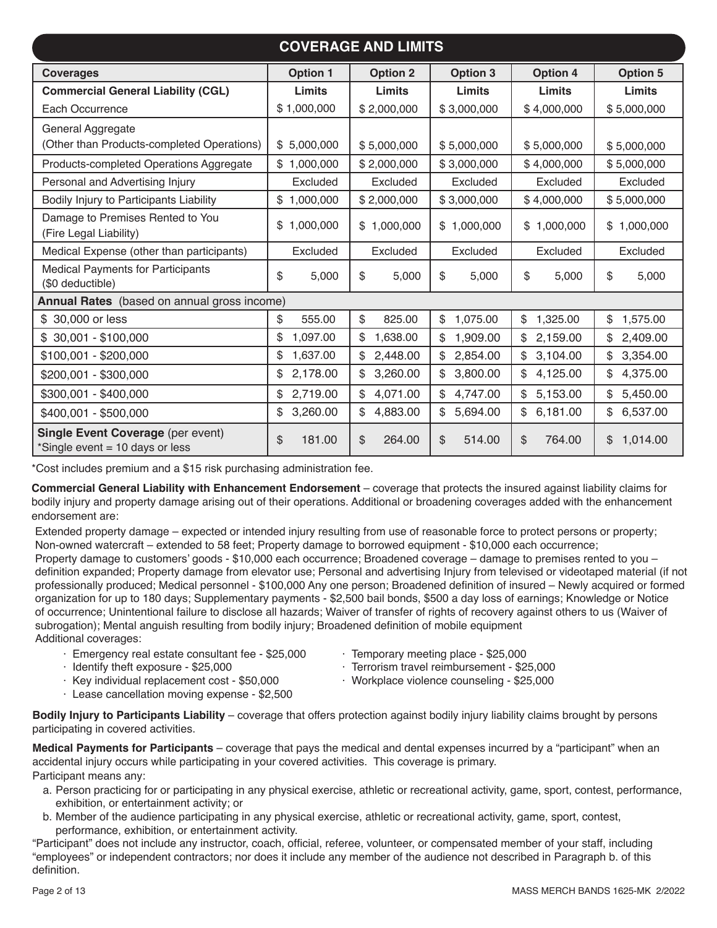| <b>COVERAGE AND LIMITS</b>                                                  |                 |                 |                          |                 |                |  |  |
|-----------------------------------------------------------------------------|-----------------|-----------------|--------------------------|-----------------|----------------|--|--|
| <b>Coverages</b>                                                            | <b>Option 1</b> | <b>Option 2</b> | <b>Option 3</b>          | <b>Option 4</b> | Option 5       |  |  |
| <b>Commercial General Liability (CGL)</b>                                   | Limits          | <b>Limits</b>   | Limits                   | Limits          | Limits         |  |  |
| Each Occurrence                                                             | \$1,000,000     | \$2,000,000     | \$3,000,000              | \$4,000,000     | \$5,000,000    |  |  |
| General Aggregate                                                           |                 |                 |                          |                 |                |  |  |
| (Other than Products-completed Operations)                                  | \$5,000,000     | \$5,000,000     | \$5,000,000              | \$5,000,000     | \$5,000,000    |  |  |
| Products-completed Operations Aggregate                                     | \$1,000,000     | \$2,000,000     | \$3,000,000              | \$4,000,000     | \$5,000,000    |  |  |
| Personal and Advertising Injury                                             | Excluded        | Excluded        | Excluded                 | Excluded        | Excluded       |  |  |
| Bodily Injury to Participants Liability                                     | \$<br>1,000,000 | \$2,000,000     | \$3,000,000              | \$4,000,000     | \$5,000,000    |  |  |
| Damage to Premises Rented to You<br>(Fire Legal Liability)                  | 1,000,000<br>\$ | \$1,000,000     | \$1,000,000              | \$1,000,000     | \$1,000,000    |  |  |
| Medical Expense (other than participants)                                   | Excluded        | Excluded        | Excluded                 | Excluded        | Excluded       |  |  |
| <b>Medical Payments for Participants</b><br>(\$0 deductible)                | \$<br>5,000     | \$<br>5,000     | \$<br>5,000              | \$<br>5,000     | \$<br>5,000    |  |  |
| Annual Rates (based on annual gross income)                                 |                 |                 |                          |                 |                |  |  |
| \$ 30,000 or less                                                           | \$<br>555.00    | \$<br>825.00    | \$<br>1,075.00           | 1,325.00<br>\$  | 1,575.00<br>\$ |  |  |
| $$30,001 - $100,000$                                                        | \$<br>1,097.00  | 1,638.00<br>\$  | 1,909.00<br>\$           | 2,159.00<br>\$  | 2,409.00<br>\$ |  |  |
| \$100,001 - \$200,000                                                       | 1,637.00<br>\$  | 2,448.00        | $\mathbb{S}$<br>2,854.00 | 3,104.00<br>\$  | 3,354.00<br>\$ |  |  |
| \$200,001 - \$300,000                                                       | 2,178.00<br>\$  | 3,260.00<br>\$  | 3,800.00<br>\$           | 4,125.00<br>\$  | 4,375.00<br>\$ |  |  |
| \$300,001 - \$400,000                                                       | 2,719.00<br>\$  | 4,071.00<br>\$  | 4,747.00<br>\$           | 5,153.00<br>\$  | 5,450.00<br>\$ |  |  |
| \$400,001 - \$500,000                                                       | 3,260.00<br>\$  | 4,883.00<br>\$  | \$<br>5,694.00           | \$<br>6,181.00  | 6,537.00<br>\$ |  |  |
| <b>Single Event Coverage (per event)</b><br>*Single event = 10 days or less | \$<br>181.00    | 264.00<br>\$    | \$<br>514.00             | \$<br>764.00    | 1,014.00<br>\$ |  |  |

\*Cost includes premium and a \$15 risk purchasing administration fee.

**Commercial General Liability with Enhancement Endorsement** – coverage that protects the insured against liability claims for bodily injury and property damage arising out of their operations. Additional or broadening coverages added with the enhancement endorsement are:

Extended property damage – expected or intended injury resulting from use of reasonable force to protect persons or property; Non-owned watercraft – extended to 58 feet; Property damage to borrowed equipment - \$10,000 each occurrence; Property damage to customers' goods - \$10,000 each occurrence; Broadened coverage – damage to premises rented to you – definition expanded; Property damage from elevator use; Personal and advertising Injury from televised or videotaped material (if not professionally produced; Medical personnel - \$100,000 Any one person; Broadened definition of insured – Newly acquired or formed organization for up to 180 days; Supplementary payments - \$2,500 bail bonds, \$500 a day loss of earnings; Knowledge or Notice of occurrence; Unintentional failure to disclose all hazards; Waiver of transfer of rights of recovery against others to us (Waiver of subrogation); Mental anguish resulting from bodily injury; Broadened definition of mobile equipment Additional coverages:

- · Emergency real estate consultant fee \$25,000
- · Temporary meeting place \$25,000

· Identify theft exposure - \$25,000

- · Terrorism travel reimbursement \$25,000
- · Key individual replacement cost \$50,000
- · Workplace violence counseling \$25,000
- · Lease cancellation moving expense \$2,500
	-

**Bodily Injury to Participants Liability** – coverage that offers protection against bodily injury liability claims brought by persons participating in covered activities.

**Medical Payments for Participants** – coverage that pays the medical and dental expenses incurred by a "participant" when an accidental injury occurs while participating in your covered activities. This coverage is primary. Participant means any:

- a. Person practicing for or participating in any physical exercise, athletic or recreational activity, game, sport, contest, performance, exhibition, or entertainment activity; or
- b. Member of the audience participating in any physical exercise, athletic or recreational activity, game, sport, contest, performance, exhibition, or entertainment activity.

"Participant" does not include any instructor, coach, official, referee, volunteer, or compensated member of your staff, including "employees" or independent contractors; nor does it include any member of the audience not described in Paragraph b. of this definition.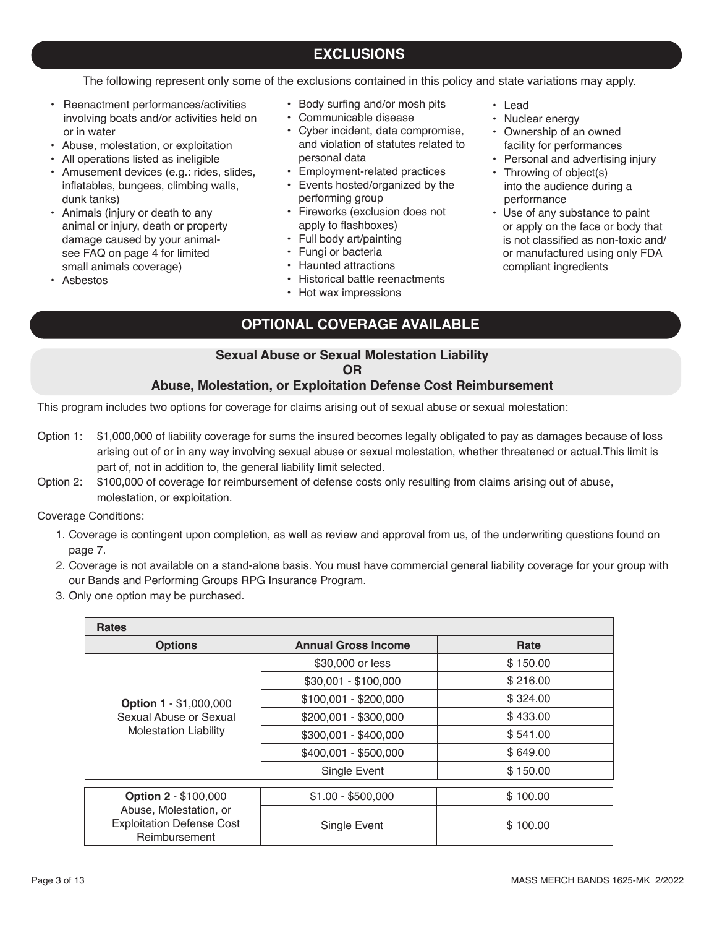# Page 3 of 13 MASS MERCH BANDS 1625-MK 2/2022

## **EXCLUSIONS**

The following represent only some of the exclusions contained in this policy and state variations may apply.

- Reenactment performances/activities involving boats and/or activities held on or in water
- Abuse, molestation, or exploitation
- All operations listed as ineligible
- Amusement devices (e.g.: rides, slides, inflatables, bungees, climbing walls, dunk tanks)
- Animals (injury or death to any animal or injury, death or property damage caused by your animalsee FAQ on page 4 for limited small animals coverage)
- Asbestos
- Body surfing and/or mosh pits
- Communicable disease
- Cyber incident, data compromise, and violation of statutes related to personal data

• Lead

• Nuclear energy

performance

• Ownership of an owned facility for performances • Personal and advertising injury

• Throwing of object(s) into the audience during a

compliant ingredients

• Use of any substance to paint or apply on the face or body that is not classified as non-toxic and/ or manufactured using only FDA

- Employment-related practices
- Events hosted/organized by the performing group
- Fireworks (exclusion does not apply to flashboxes)
- Full body art/painting
- Fungi or bacteria
- Haunted attractions
- Historical battle reenactments
- Hot wax impressions

## **OPTIONAL COVERAGE AVAILABLE**

### **Sexual Abuse or Sexual Molestation Liability**

#### **OR**

### **Abuse, Molestation, or Exploitation Defense Cost Reimbursement**

This program includes two options for coverage for claims arising out of sexual abuse or sexual molestation:

- Option 1: \$1,000,000 of liability coverage for sums the insured becomes legally obligated to pay as damages because of loss arising out of or in any way involving sexual abuse or sexual molestation, whether threatened or actual.This limit is part of, not in addition to, the general liability limit selected.
- Option 2: \$100,000 of coverage for reimbursement of defense costs only resulting from claims arising out of abuse, molestation, or exploitation.

Coverage Conditions:

- 1. Coverage is contingent upon completion, as well as review and approval from us, of the underwriting questions found on page 7.
- 2. Coverage is not available on a stand-alone basis. You must have commercial general liability coverage for your group with our Bands and Performing Groups RPG Insurance Program.
- 3. Only one option may be purchased.

| <b>Rates</b>                                                                |                            |          |
|-----------------------------------------------------------------------------|----------------------------|----------|
| <b>Options</b>                                                              | <b>Annual Gross Income</b> | Rate     |
|                                                                             | \$30,000 or less           | \$150.00 |
|                                                                             | $$30,001 - $100,000$       | \$216.00 |
| <b>Option 1 - \$1,000,000</b>                                               | $$100,001 - $200,000$      | \$324.00 |
| Sexual Abuse or Sexual<br><b>Molestation Liability</b>                      | \$200,001 - \$300,000      | \$433.00 |
|                                                                             | \$300,001 - \$400,000      | \$541.00 |
|                                                                             | \$400,001 - \$500,000      | \$649.00 |
|                                                                             | Single Event               | \$150.00 |
|                                                                             |                            |          |
| <b>Option 2 - \$100,000</b>                                                 | $$1.00 - $500,000$         | \$100.00 |
| Abuse, Molestation, or<br><b>Exploitation Defense Cost</b><br>Reimbursement | Single Event               | \$100.00 |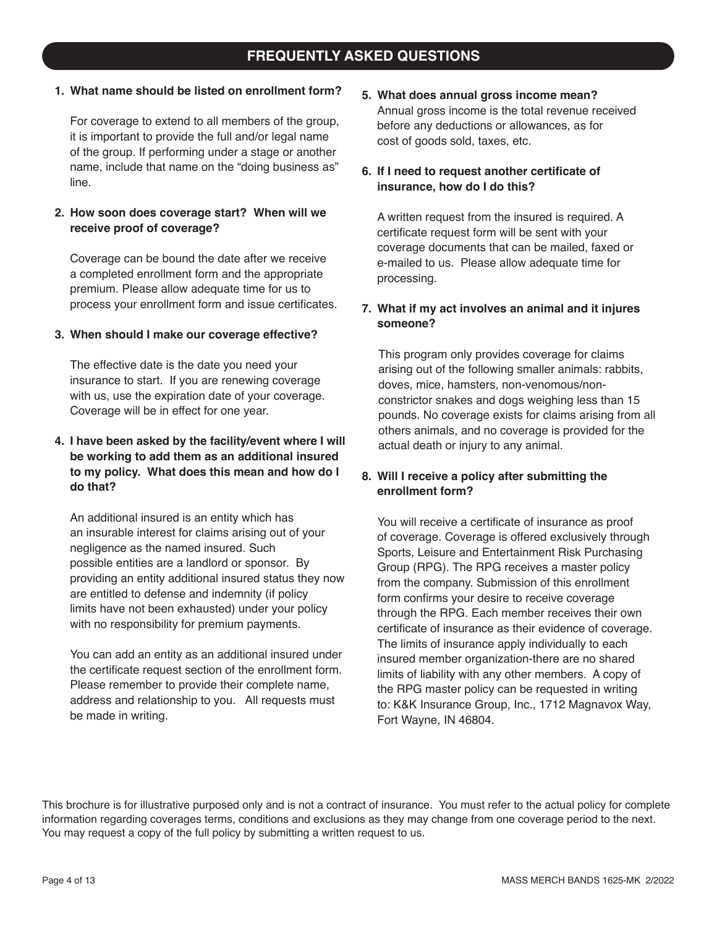## **FREQUENTLY ASKED QUESTIONS**

### **1. What name should be listed on enrollment form?**

For coverage to extend to all members of the group, it is important to provide the full and/or legal name of the group. If performing under a stage or another name, include that name on the "doing business as" line.

### **2. How soon does coverage start? When will we receive proof of coverage?**

Coverage can be bound the date after we receive a completed enrollment form and the appropriate premium. Please allow adequate time for us to process your enrollment form and issue certificates.

#### **3. When should I make our coverage effective?**

The effective date is the date you need your insurance to start. If you are renewing coverage with us, use the expiration date of your coverage. Coverage will be in effect for one year.

### **4. I have been asked by the facility/event where I will be working to add them as an additional insured to my policy. What does this mean and how do I do that?**

An additional insured is an entity which has an insurable interest for claims arising out of your negligence as the named insured. Such possible entities are a landlord or sponsor. By providing an entity additional insured status they now are entitled to defense and indemnity (if policy limits have not been exhausted) under your policy with no responsibility for premium payments.

You can add an entity as an additional insured under the certificate request section of the enrollment form. Please remember to provide their complete name, address and relationship to you. All requests must be made in writing.

**5. What does annual gross income mean?**  Annual gross income is the total revenue received before any deductions or allowances, as for cost of goods sold, taxes, etc.

### **6. If I need to request another certificate of insurance, how do I do this?**

A written request from the insured is required. A certificate request form will be sent with your coverage documents that can be mailed, faxed or e-mailed to us. Please allow adequate time for processing.

#### **7. What if my act involves an animal and it injures someone?**

This program only provides coverage for claims arising out of the following smaller animals: rabbits, doves, mice, hamsters, non-venomous/nonconstrictor snakes and dogs weighing less than 15 pounds. No coverage exists for claims arising from all others animals, and no coverage is provided for the actual death or injury to any animal.

### **8. Will I receive a policy after submitting the enrollment form?**

 You will receive a certificate of insurance as proof of coverage. Coverage is offered exclusively through Sports, Leisure and Entertainment Risk Purchasing Group (RPG). The RPG receives a master policy from the company. Submission of this enrollment form confirms your desire to receive coverage through the RPG. Each member receives their own certificate of insurance as their evidence of coverage. The limits of insurance apply individually to each insured member organization-there are no shared limits of liability with any other members. A copy of the RPG master policy can be requested in writing to: K&K Insurance Group, Inc., 1712 Magnavox Way, Fort Wayne, IN 46804.

This brochure is for illustrative purposed only and is not a contract of insurance. You must refer to the actual policy for complete information regarding coverages terms, conditions and exclusions as they may change from one coverage period to the next. You may request a copy of the full policy by submitting a written request to us.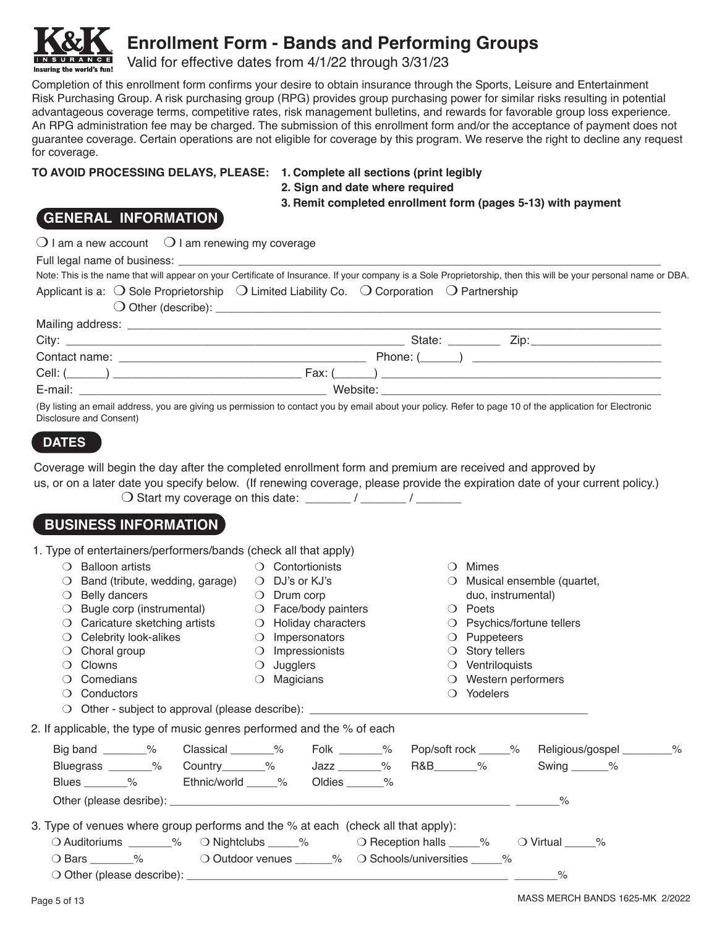

Valid for effective dates from 4/1/22 through 3/31/23

Completion of this enrollment form confirms your desire to obtain insurance through the Sports, Leisure and Entertainment Risk Purchasing Group. A risk purchasing group (RPG) provides group purchasing power for similar risks resulting in potential advantageous coverage terms, competitive rates, risk management bulletins, and rewards for favorable group loss experience. An RPG administration fee may be charged. The submission of this enrollment form and/or the acceptance of payment does not guarantee coverage. Certain operations are not eligible for coverage by this program. We reserve the right to decline any request for coverage.

#### **TO AVOID PROCESSING DELAYS, PLEASE: 1. Complete all sections (print legibly**

- 
- **2. Sign and date where required**

**3. Remit completed enrollment form (pages 5-13) with payment**

## **GENERAL INFORMATION**

Insuring the world's fun!

| $\bigcirc$ I am a new account $\bigcirc$ I am renewing my coverage<br>Applicant is a: $\bigcirc$ Sole Proprietorship $\bigcirc$ Limited Liability Co. $\bigcirc$ Corporation $\bigcirc$ Partnership                            |                                                  |                              | Note: This is the name that will appear on your Certificate of Insurance. If your company is a Sole Proprietorship, then this will be your personal name or DBA. |  |
|--------------------------------------------------------------------------------------------------------------------------------------------------------------------------------------------------------------------------------|--------------------------------------------------|------------------------------|------------------------------------------------------------------------------------------------------------------------------------------------------------------|--|
|                                                                                                                                                                                                                                |                                                  |                              |                                                                                                                                                                  |  |
|                                                                                                                                                                                                                                |                                                  |                              |                                                                                                                                                                  |  |
|                                                                                                                                                                                                                                |                                                  |                              |                                                                                                                                                                  |  |
|                                                                                                                                                                                                                                |                                                  |                              |                                                                                                                                                                  |  |
|                                                                                                                                                                                                                                |                                                  |                              |                                                                                                                                                                  |  |
| E-mail: Contract Contract Contract Contract Contract Contract Contract Contract Contract Contract Contract Contract Contract Contract Contract Contract Contract Contract Contract Contract Contract Contract Contract Contrac |                                                  |                              |                                                                                                                                                                  |  |
| (By listing an email address, you are giving us permission to contact you by email about your policy. Refer to page 10 of the application for Electronic<br>Disclosure and Consent)                                            |                                                  |                              |                                                                                                                                                                  |  |
| <b>DATES</b>                                                                                                                                                                                                                   |                                                  |                              |                                                                                                                                                                  |  |
| us, or on a later date you specify below. (If renewing coverage, please provide the expiration date of your current policy.)<br><b>BUSINESS INFORMATION</b>                                                                    |                                                  |                              |                                                                                                                                                                  |  |
| 1. Type of entertainers/performers/bands (check all that apply)                                                                                                                                                                |                                                  |                              |                                                                                                                                                                  |  |
| $\bigcirc$ Balloon artists                                                                                                                                                                                                     | $\bigcirc$ Contortionists                        |                              | $\bigcirc$ Mimes                                                                                                                                                 |  |
| $\bigcirc$ Band (tribute, wedding, garage) $\bigcirc$ DJ's or KJ's                                                                                                                                                             |                                                  |                              | O Musical ensemble (quartet,                                                                                                                                     |  |
| $\bigcirc$ Belly dancers                                                                                                                                                                                                       | $\bigcirc$ Drum corp                             |                              | duo, instrumental)                                                                                                                                               |  |
| $\bigcirc$ Bugle corp (instrumental)<br>$\bigcirc$ Caricature sketching artists                                                                                                                                                | O Face/body painters                             |                              | $\bigcirc$ Poets                                                                                                                                                 |  |
| $\bigcirc$ Celebrity look-alikes                                                                                                                                                                                               | O Holiday characters<br>$\bigcirc$ Impersonators |                              | ○ Psychics/fortune tellers<br>$\bigcirc$ Puppeteers                                                                                                              |  |
| $\bigcirc$ Choral group                                                                                                                                                                                                        | $\bigcirc$ Impressionists                        |                              | $\bigcirc$ Story tellers                                                                                                                                         |  |
| $\bigcirc$ Clowns                                                                                                                                                                                                              | $\bigcirc$ Jugglers                              |                              | $\bigcirc$ Ventriloquists                                                                                                                                        |  |
| $\bigcirc$ Comedians                                                                                                                                                                                                           | $\bigcirc$ Magicians                             |                              | $\bigcirc$ Western performers                                                                                                                                    |  |
| $\bigcirc$ Conductors                                                                                                                                                                                                          |                                                  |                              | ○ Yodelers                                                                                                                                                       |  |
| Other - subject to approval (please describe): _________________________________<br>$\Omega$                                                                                                                                   |                                                  |                              |                                                                                                                                                                  |  |
| 2. If applicable, the type of music genres performed and the % of each                                                                                                                                                         |                                                  |                              |                                                                                                                                                                  |  |
| Big band ________% Classical ______%                                                                                                                                                                                           |                                                  | Folk ________%               | Pop/soft rock _____%<br>Religious/gospel ________%                                                                                                               |  |
| Bluegrass _______% Country _______%                                                                                                                                                                                            |                                                  | $\frac{3}{2}$<br>R&B_______% | Swing $\_\_\_\_\_\$ %                                                                                                                                            |  |
| Blues _______%<br>Ethnic/world _____%                                                                                                                                                                                          |                                                  | Oldies ______ %              |                                                                                                                                                                  |  |
|                                                                                                                                                                                                                                |                                                  |                              | %                                                                                                                                                                |  |

3. Type of venues where group performs and the % at each (check all that apply):

| $\bigcirc$ Auditoriums | $\%$ O Nightclubs $\%$ | $\circ$ Reception halls $\sim$ $\circ$ $\circ$ Virtual $\sim$             |  |
|------------------------|------------------------|---------------------------------------------------------------------------|--|
| ◯ Bars                 |                        | $\circ$ O Outdoor venues $\circ$ $\circ$ O Schools/universities $\circ$ % |  |

O Other (please describe):  $\sim$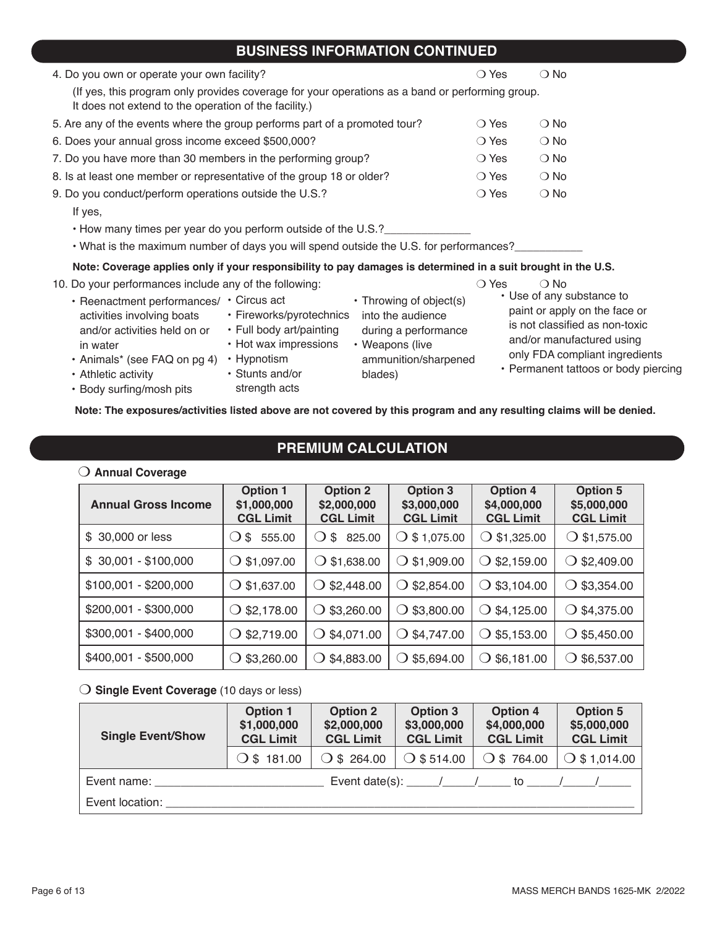## **BUSINESS INFORMATION CONTINUED**

| 4. Do you own or operate your own facility?                                                                                                                                                                                                                                                    | $\bigcirc$ Yes | $\bigcirc$ No                                                                                                             |
|------------------------------------------------------------------------------------------------------------------------------------------------------------------------------------------------------------------------------------------------------------------------------------------------|----------------|---------------------------------------------------------------------------------------------------------------------------|
| (If yes, this program only provides coverage for your operations as a band or performing group.<br>It does not extend to the operation of the facility.)                                                                                                                                       |                |                                                                                                                           |
| 5. Are any of the events where the group performs part of a promoted tour?                                                                                                                                                                                                                     | $\bigcirc$ Yes | $\bigcirc$ No                                                                                                             |
| 6. Does your annual gross income exceed \$500,000?                                                                                                                                                                                                                                             | $\bigcirc$ Yes | $\bigcirc$ No                                                                                                             |
| 7. Do you have more than 30 members in the performing group?                                                                                                                                                                                                                                   | $\bigcirc$ Yes | $\bigcirc$ No                                                                                                             |
| 8. Is at least one member or representative of the group 18 or older?                                                                                                                                                                                                                          | $\bigcirc$ Yes | $\bigcirc$ No                                                                                                             |
| 9. Do you conduct/perform operations outside the U.S.?                                                                                                                                                                                                                                         | $\bigcirc$ Yes | $\bigcirc$ No                                                                                                             |
| If yes,                                                                                                                                                                                                                                                                                        |                |                                                                                                                           |
| • How many times per year do you perform outside of the U.S.?                                                                                                                                                                                                                                  |                |                                                                                                                           |
| • What is the maximum number of days you will spend outside the U.S. for performances?                                                                                                                                                                                                         |                |                                                                                                                           |
| Note: Coverage applies only if your responsibility to pay damages is determined in a suit brought in the U.S.                                                                                                                                                                                  |                |                                                                                                                           |
| 10. Do your performances include any of the following:                                                                                                                                                                                                                                         | $\bigcirc$ Yes | $\bigcirc$ No                                                                                                             |
| • Throwing of object(s)<br>• Reenactment performances/ • Circus act<br>• Fireworks/pyrotechnics<br>into the audience<br>activities involving boats<br>• Full body art/painting<br>during a performance<br>and/or activities held on or<br>• Hot wax impressions<br>• Weapons (live<br>in water |                | • Use of any substance to<br>paint or apply on the face or<br>is not classified as non-toxic<br>and/or manufactured using |

- Athletic activity
- Body surfing/mosh pits

• Animals\* (see FAQ on pg 4) • Hypnotism

• Stunts and/or strength acts

**Note: The exposures/activities listed above are not covered by this program and any resulting claims will be denied.**

**PREMIUM CALCULATION**

blades)

ammunition/sharpened

### O Annual Coverage

| <b>Annual Gross Income</b> | <b>Option 1</b><br>\$1,000,000<br><b>CGL Limit</b> | <b>Option 2</b><br>\$2,000,000<br><b>CGL Limit</b> | <b>Option 3</b><br>\$3,000,000<br><b>CGL Limit</b> | <b>Option 4</b><br>\$4,000,000<br><b>CGL Limit</b> | <b>Option 5</b><br>\$5,000,000<br><b>CGL Limit</b> |
|----------------------------|----------------------------------------------------|----------------------------------------------------|----------------------------------------------------|----------------------------------------------------|----------------------------------------------------|
| \$ 30,000 or less          | 555.00<br>\$                                       | 825.00<br>\$                                       | $\bigcirc$ \$ 1,075.00                             | $\bigcirc$ \$1,325.00                              | \$1,575.00<br>$\cup$                               |
| $$30,001 - $100,000$       | \$1,097.00                                         | $\bigcirc$ \$1,638.00                              | $\bigcirc$ \$1,909.00                              | $\bigcirc$ \$2,159.00                              | $\bigcirc$ \$2,409.00                              |
| $$100,001 - $200,000$      | \$1,637.00                                         | $\bigcirc$ \$2,448.00                              | \$2,854.00<br>$\cup$                               | $\bigcirc$ \$3,104.00                              | $\bigcirc$ \$3,354.00                              |
| \$200,001 - \$300,000      | $\bigcirc$ \$2,178.00                              | $\bigcirc$ \$3,260.00                              | $\bigcirc$ \$3,800.00                              | $\bigcirc$ \$4,125.00                              | $\bigcirc$ \$4,375.00                              |
| \$300,001 - \$400,000      | \$2,719.00                                         | $\bigcirc$ \$4,071.00                              | $\bigcirc$ \$4,747.00                              | $\bigcirc$ \$5,153.00                              | $\bigcirc$ \$5,450.00                              |
| \$400,001 - \$500,000      | \$3,260.00                                         | \$4,883.00<br>0                                    | \$5,694.00<br>◯                                    | $\bigcirc$ \$6,181.00                              | $\bigcirc$ \$6,537.00                              |

#### O **Single Event Coverage** (10 days or less)

| <b>Single Event/Show</b> | <b>Option 1</b><br>\$1,000,000<br><b>CGL Limit</b> | <b>Option 2</b><br>\$2,000,000<br><b>CGL Limit</b> | Option 3<br>\$3,000,000<br><b>CGL Limit</b> | <b>Option 4</b><br>\$4,000,000<br><b>CGL Limit</b>                        | <b>Option 5</b><br>\$5,000,000<br><b>CGL Limit</b> |
|--------------------------|----------------------------------------------------|----------------------------------------------------|---------------------------------------------|---------------------------------------------------------------------------|----------------------------------------------------|
|                          | $\bigcirc$ \$ 181.00                               | $\bigcirc$ \$ 264.00                               | $\circ$ \$514.00                            | O \$764.00                                                                | $\bigcirc$ \$ 1,014.00                             |
|                          |                                                    |                                                    |                                             | Event date(s): $\frac{1}{1}$ $\frac{1}{1}$ to $\frac{1}{1}$ $\frac{1}{1}$ |                                                    |
| Event location:          |                                                    |                                                    |                                             |                                                                           |                                                    |

only FDA compliant ingredients • Permanent tattoos or body piercing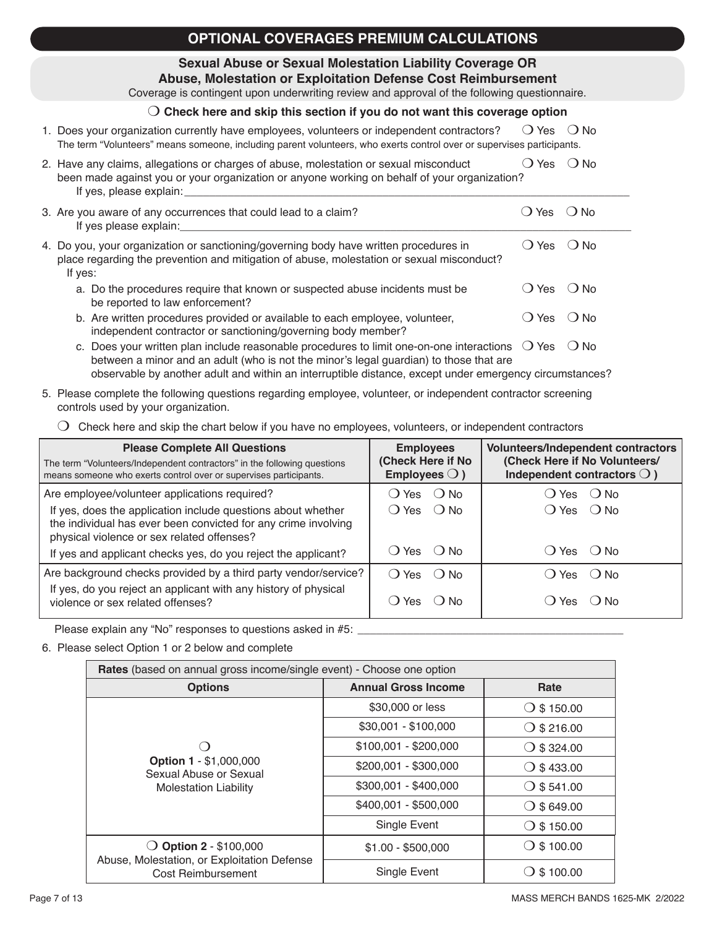## **OPTIONAL COVERAGES PREMIUM CALCULATIONS**

### **Sexual Abuse or Sexual Molestation Liability Coverage OR**

**Abuse, Molestation or Exploitation Defense Cost Reimbursement** Coverage is contingent upon underwriting review and approval of the following questionnaire.

### m **Check here and skip this section if you do not want this coverage option**

### 1. Does your organization currently have employees, volunteers or independent contractors?  $\Box$  Yes  $\Box$  No The term "Volunteers" means someone, including parent volunteers, who exerts control over or supervises participants.

#### 2. Have any claims, allegations or charges of abuse, molestation or sexual misconduct  $\bigcirc$  Yes  $\bigcirc$  No been made against you or your organization or anyone working on behalf of your organization? If yes, please explain:

3. Are you aware of any occurrences that could lead to a claim?  $O$  Yes  $O$  No If yes please explain: 4. Do you, your organization or sanctioning/governing body have written procedures in  $O$  Yes  $O$  No

|         | place regarding the prevention and mitigation of abuse, molestation or sexual misconduct? |                       |                          |
|---------|-------------------------------------------------------------------------------------------|-----------------------|--------------------------|
| If yes: |                                                                                           |                       |                          |
|         | a. Do the procedures require that known or suspected abuse incidents must be              | () Yes ◯ No           |                          |
|         | be reported to law enforcement?                                                           |                       |                          |
|         | h Are written procedures provided ar quailable to seek employee volunteer                 | $\sum_{n=1}^{\infty}$ | $\bigcap$ N <sub>1</sub> |

- b. Are written procedures provided or available to each employee, volunteer,  $\Box$  Yes  $\Box$  No independent contractor or sanctioning/governing body member?
- c. Does your written plan include reasonable procedures to limit one-on-one interactions  $\bigcirc$  Yes  $\bigcirc$  No between a minor and an adult (who is not the minor's legal guardian) to those that are observable by another adult and within an interruptible distance, except under emergency circumstances?
- 5. Please complete the following questions regarding employee, volunteer, or independent contractor screening controls used by your organization.
	- $\bigcirc$  Check here and skip the chart below if you have no employees, volunteers, or independent contractors

| <b>Please Complete All Questions</b><br>The term "Volunteers/Independent contractors" in the following questions<br>means someone who exerts control over or supervises participants. | <b>Employees</b><br>(Check Here if No<br>Employees $\bigcirc$ ) | <b>Volunteers/Independent contractors</b><br>(Check Here if No Volunteers/<br>Independent contractors $\bigcirc$ ) |
|---------------------------------------------------------------------------------------------------------------------------------------------------------------------------------------|-----------------------------------------------------------------|--------------------------------------------------------------------------------------------------------------------|
| Are employee/volunteer applications required?                                                                                                                                         | ◯ Yes ( ) No.                                                   | () Yes () No                                                                                                       |
| If yes, does the application include questions about whether<br>the individual has ever been convicted for any crime involving<br>physical violence or sex related offenses?          | () Yes ○ No                                                     | $O Yes$ $O No$                                                                                                     |
| If yes and applicant checks yes, do you reject the applicant?                                                                                                                         | ◯ Yes ( ) No.                                                   | $()$ Yes $()$ No                                                                                                   |
| Are background checks provided by a third party vendor/service?                                                                                                                       | $O$ Yes $O$ No                                                  | () Yes () No                                                                                                       |
| If yes, do you reject an applicant with any history of physical<br>violence or sex related offenses?                                                                                  | Yes $()$ No                                                     | () Yes () No                                                                                                       |

Please explain any "No" responses to questions asked in #5:

### 6. Please select Option 1 or 2 below and complete

| Rates (based on annual gross income/single event) - Choose one option                   |                            |                                    |  |  |
|-----------------------------------------------------------------------------------------|----------------------------|------------------------------------|--|--|
| <b>Options</b>                                                                          | <b>Annual Gross Income</b> | Rate                               |  |  |
|                                                                                         | \$30,000 or less           | \$150.00<br>$\left( \right)$       |  |  |
|                                                                                         | \$30,001 - \$100,000       | $\bigcirc$ \$ 216.00               |  |  |
| <b>Option 1 - \$1,000,000</b><br>Sexual Abuse or Sexual<br><b>Molestation Liability</b> | $$100,001 - $200,000$      | $\bigcirc$ \$ 324.00               |  |  |
|                                                                                         | \$200,001 - \$300,000      | $\bigcirc$ \$ 433.00               |  |  |
|                                                                                         | \$300,001 - \$400,000      | $\bigcirc$ \$541.00                |  |  |
|                                                                                         | \$400,001 - \$500,000      | $\bigcirc$ \$649.00                |  |  |
|                                                                                         | Single Event               | $\bigcirc$ \$ 150.00               |  |  |
| <b>Option 2 - \$100,000</b>                                                             | $$1.00 - $500,000$         | \$100.00<br>$\left( \quad \right)$ |  |  |
| Abuse, Molestation, or Exploitation Defense<br>Cost Reimbursement                       | Single Event               | \$100.00                           |  |  |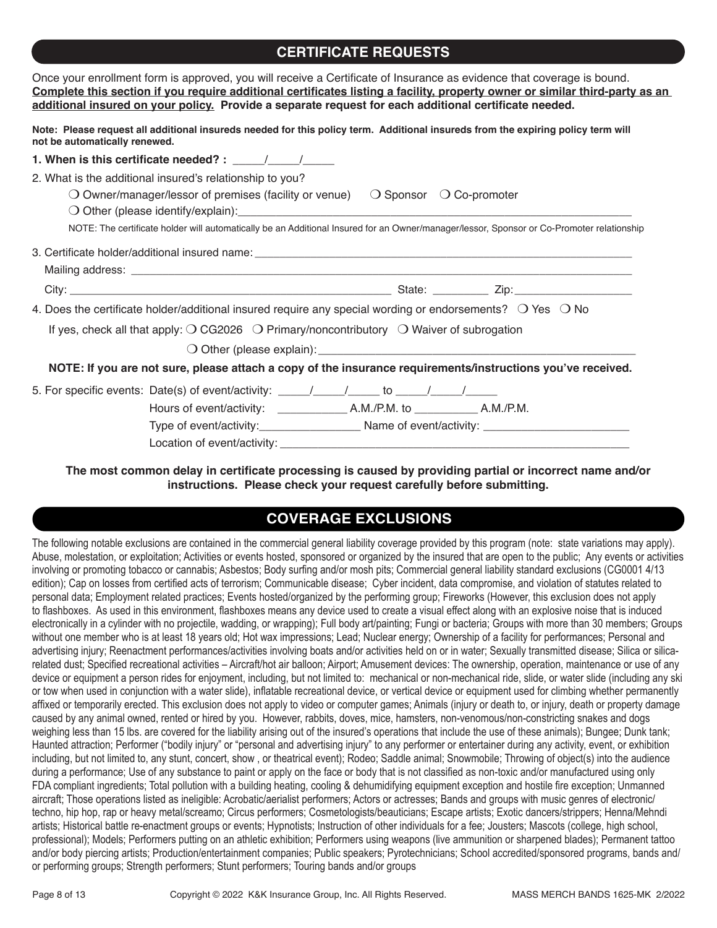## **CERTIFICATE REQUESTS**

|                               | Once your enrollment form is approved, you will receive a Certificate of Insurance as evidence that coverage is bound.                                                                                                                                                                                                                                                                                            |
|-------------------------------|-------------------------------------------------------------------------------------------------------------------------------------------------------------------------------------------------------------------------------------------------------------------------------------------------------------------------------------------------------------------------------------------------------------------|
|                               | Complete this section if you require additional certificates listing a facility, property owner or similar third-party as an<br>additional insured on your policy. Provide a separate request for each additional certificate needed.                                                                                                                                                                             |
| not be automatically renewed. | Note: Please request all additional insureds needed for this policy term. Additional insureds from the expiring policy term will                                                                                                                                                                                                                                                                                  |
|                               | 1. When is this certificate needed? : $\frac{1}{\frac{1}{2} \cdot \frac{1}{2} \cdot \frac{1}{2} \cdot \frac{1}{2} \cdot \frac{1}{2} \cdot \frac{1}{2} \cdot \frac{1}{2} \cdot \frac{1}{2} \cdot \frac{1}{2} \cdot \frac{1}{2} \cdot \frac{1}{2} \cdot \frac{1}{2} \cdot \frac{1}{2} \cdot \frac{1}{2} \cdot \frac{1}{2} \cdot \frac{1}{2} \cdot \frac{1}{2} \cdot \frac{1}{2} \cdot \frac{1}{2} \cdot \frac{1}{2$ |
|                               | 2. What is the additional insured's relationship to you?<br>$\bigcirc$ Owner/manager/lessor of premises (facility or venue) $\bigcirc$ Sponsor $\bigcirc$ Co-promoter<br>NOTE: The certificate holder will automatically be an Additional Insured for an Owner/manager/lessor, Sponsor or Co-Promoter relationship                                                                                                |
|                               |                                                                                                                                                                                                                                                                                                                                                                                                                   |
|                               |                                                                                                                                                                                                                                                                                                                                                                                                                   |
|                               |                                                                                                                                                                                                                                                                                                                                                                                                                   |
|                               | 4. Does the certificate holder/additional insured require any special wording or endorsements? $\bigcirc$ Yes $\bigcirc$ No                                                                                                                                                                                                                                                                                       |
|                               | If yes, check all that apply: $\bigcirc$ CG2026 $\bigcirc$ Primary/noncontributory $\bigcirc$ Waiver of subrogation                                                                                                                                                                                                                                                                                               |
|                               |                                                                                                                                                                                                                                                                                                                                                                                                                   |
|                               | NOTE: If you are not sure, please attach a copy of the insurance requirements/instructions you've received.                                                                                                                                                                                                                                                                                                       |
|                               |                                                                                                                                                                                                                                                                                                                                                                                                                   |
|                               |                                                                                                                                                                                                                                                                                                                                                                                                                   |
|                               |                                                                                                                                                                                                                                                                                                                                                                                                                   |
|                               |                                                                                                                                                                                                                                                                                                                                                                                                                   |

### **The most common delay in certificate processing is caused by providing partial or incorrect name and/or instructions. Please check your request carefully before submitting.**

## **COVERAGE EXCLUSIONS**

The following notable exclusions are contained in the commercial general liability coverage provided by this program (note: state variations may apply). Abuse, molestation, or exploitation; Activities or events hosted, sponsored or organized by the insured that are open to the public; Any events or activities involving or promoting tobacco or cannabis; Asbestos; Body surfing and/or mosh pits; Commercial general liability standard exclusions (CG0001 4/13 edition); Cap on losses from certified acts of terrorism; Communicable disease; Cyber incident, data compromise, and violation of statutes related to personal data; Employment related practices; Events hosted/organized by the performing group; Fireworks (However, this exclusion does not apply to flashboxes. As used in this environment, flashboxes means any device used to create a visual effect along with an explosive noise that is induced electronically in a cylinder with no projectile, wadding, or wrapping); Full body art/painting; Fungi or bacteria; Groups with more than 30 members; Groups without one member who is at least 18 years old; Hot wax impressions; Lead; Nuclear energy; Ownership of a facility for performances; Personal and advertising injury; Reenactment performances/activities involving boats and/or activities held on or in water; Sexually transmitted disease; Silica or silicarelated dust; Specified recreational activities – Aircraft/hot air balloon; Airport; Amusement devices: The ownership, operation, maintenance or use of any device or equipment a person rides for enjoyment, including, but not limited to: mechanical or non-mechanical ride, slide, or water slide (including any ski or tow when used in conjunction with a water slide), inflatable recreational device, or vertical device or equipment used for climbing whether permanently affixed or temporarily erected. This exclusion does not apply to video or computer games; Animals (injury or death to, or injury, death or property damage caused by any animal owned, rented or hired by you. However, rabbits, doves, mice, hamsters, non-venomous/non-constricting snakes and dogs weighing less than 15 lbs. are covered for the liability arising out of the insured's operations that include the use of these animals); Bungee; Dunk tank; Haunted attraction; Performer ("bodily injury" or "personal and advertising injury" to any performer or entertainer during any activity, event, or exhibition including, but not limited to, any stunt, concert, show , or theatrical event); Rodeo; Saddle animal; Snowmobile; Throwing of object(s) into the audience during a performance; Use of any substance to paint or apply on the face or body that is not classified as non-toxic and/or manufactured using only FDA compliant ingredients; Total pollution with a building heating, cooling & dehumidifying equipment exception and hostile fire exception; Unmanned aircraft; Those operations listed as ineligible: Acrobatic/aerialist performers; Actors or actresses; Bands and groups with music genres of electronic/ techno, hip hop, rap or heavy metal/screamo; Circus performers; Cosmetologists/beauticians; Escape artists; Exotic dancers/strippers; Henna/Mehndi artists; Historical battle re-enactment groups or events; Hypnotists; Instruction of other individuals for a fee; Jousters; Mascots (college, high school, professional); Models; Performers putting on an athletic exhibition; Performers using weapons (live ammunition or sharpened blades); Permanent tattoo and/or body piercing artists; Production/entertainment companies; Public speakers; Pyrotechnicians; School accredited/sponsored programs, bands and/ or performing groups; Strength performers; Stunt performers; Touring bands and/or groups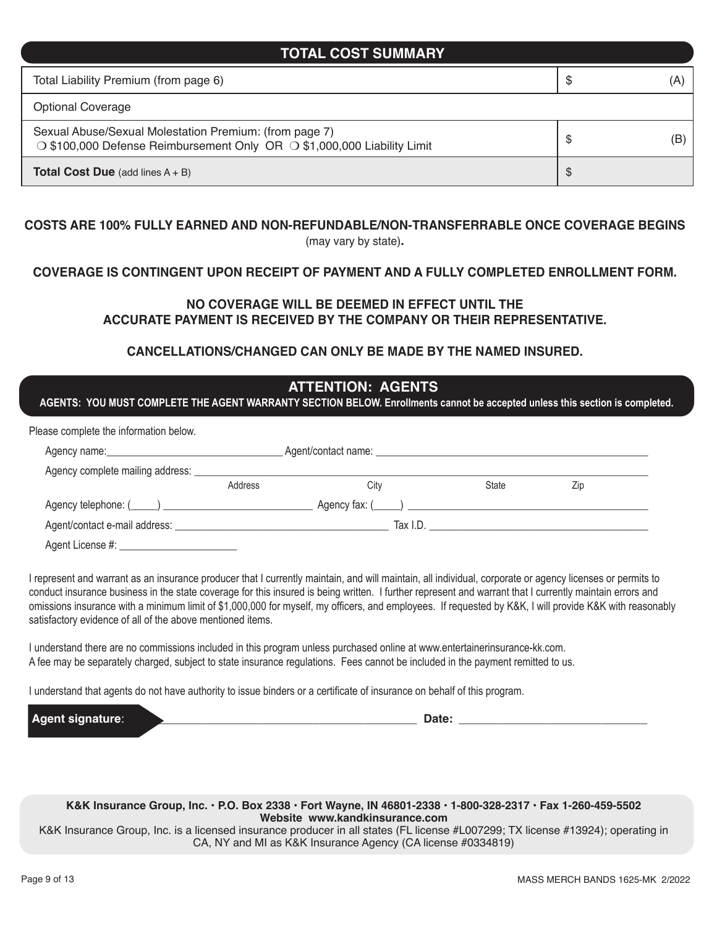### **TOTAL COST SUMMARY**

| Total Liability Premium (from page 6)                                                                                             | \$ | (A |
|-----------------------------------------------------------------------------------------------------------------------------------|----|----|
| <b>Optional Coverage</b>                                                                                                          |    |    |
| Sexual Abuse/Sexual Molestation Premium: (from page 7)<br>○ \$100,000 Defense Reimbursement Only OR ○ \$1,000,000 Liability Limit | S  | (B |
| <b>Total Cost Due</b> (add lines $A + B$ )                                                                                        | \$ |    |

#### **COSTS ARE 100% FULLY EARNED AND NON-REFUNDABLE/NON-TRANSFERRABLE ONCE COVERAGE BEGINS**  (may vary by state)**.**

### **COVERAGE IS CONTINGENT UPON RECEIPT OF PAYMENT AND A FULLY COMPLETED ENROLLMENT FORM.**

### **NO COVERAGE WILL BE DEEMED IN EFFECT UNTIL THE ACCURATE PAYMENT IS RECEIVED BY THE COMPANY OR THEIR REPRESENTATIVE.**

### **CANCELLATIONS/CHANGED CAN ONLY BE MADE BY THE NAMED INSURED.**

| AGENTS: YOU MUST COMPLETE THE AGENT WARRANTY SECTION BELOW. Enrollments cannot be accepted unless this section is completed. |                             | <b>ATTENTION: AGENTS</b> |       |     |  |
|------------------------------------------------------------------------------------------------------------------------------|-----------------------------|--------------------------|-------|-----|--|
| Please complete the information below.                                                                                       |                             |                          |       |     |  |
|                                                                                                                              |                             |                          |       |     |  |
|                                                                                                                              |                             |                          |       |     |  |
|                                                                                                                              | Address                     | City                     | State | Zip |  |
|                                                                                                                              | $\Box$ Agency fax: $(\Box)$ |                          |       |     |  |
|                                                                                                                              |                             |                          |       |     |  |
| Agent License #:                                                                                                             |                             |                          |       |     |  |

I represent and warrant as an insurance producer that I currently maintain, and will maintain, all individual, corporate or agency licenses or permits to conduct insurance business in the state coverage for this insured is being written. I further represent and warrant that I currently maintain errors and omissions insurance with a minimum limit of \$1,000,000 for myself, my officers, and employees. If requested by K&K, I will provide K&K with reasonably satisfactory evidence of all of the above mentioned items.

I understand there are no commissions included in this program unless purchased online at www.entertainerinsurance-kk.com. A fee may be separately charged, subject to state insurance regulations. Fees cannot be included in the payment remitted to us.

I understand that agents do not have authority to issue binders or a certificate of insurance on behalf of this program.

**Agent signature**: \_\_\_\_\_\_\_\_\_\_\_\_\_\_\_\_\_\_\_\_\_\_\_\_\_\_\_\_\_\_\_\_\_\_\_\_\_\_\_\_\_\_\_\_ **Date:** \_\_\_\_\_\_\_\_\_\_\_\_\_\_\_\_\_\_\_\_\_\_\_\_\_\_\_\_\_

**K&K Insurance Group, Inc. • P.O. Box 2338 • Fort Wayne, IN 46801-2338 • 1-800-328-2317 • Fax 1-260-459-5502 Website www.kandkinsurance.com**

K&K Insurance Group, Inc. is a licensed insurance producer in all states (FL license #L007299; TX license #13924); operating in CA, NY and MI as K&K Insurance Agency (CA license #0334819)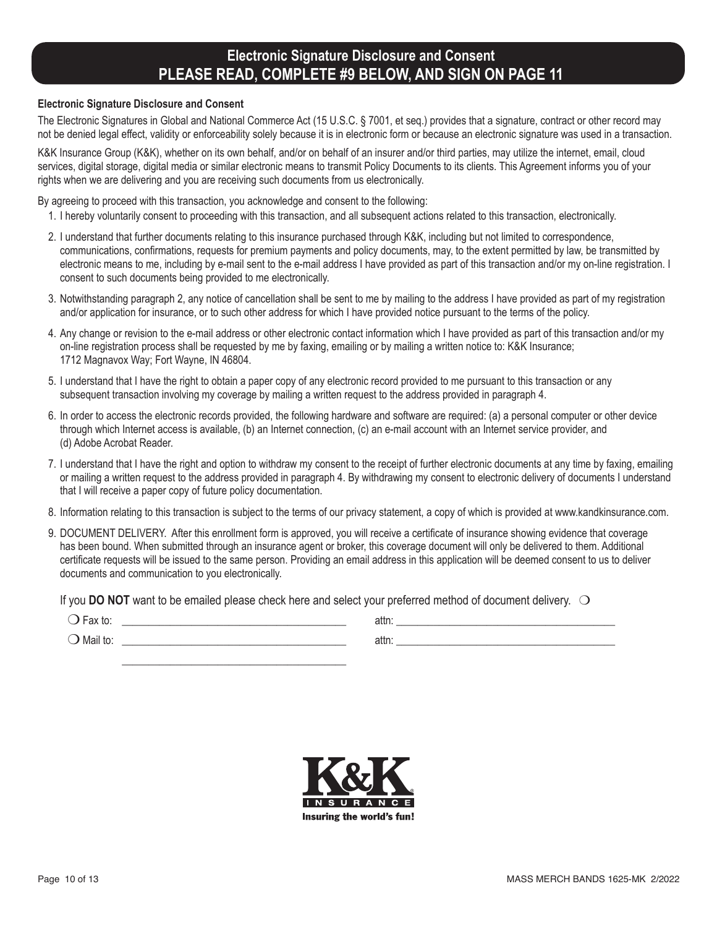## **Electronic Signature Disclosure and Consent PLEASE READ, COMPLETE #9 BELOW, AND SIGN ON PAGE 11**

#### **Electronic Signature Disclosure and Consent**

The Electronic Signatures in Global and National Commerce Act (15 U.S.C. § 7001, et seq.) provides that a signature, contract or other record may not be denied legal effect, validity or enforceability solely because it is in electronic form or because an electronic signature was used in a transaction.

K&K Insurance Group (K&K), whether on its own behalf, and/or on behalf of an insurer and/or third parties, may utilize the internet, email, cloud services, digital storage, digital media or similar electronic means to transmit Policy Documents to its clients. This Agreement informs you of your rights when we are delivering and you are receiving such documents from us electronically.

By agreeing to proceed with this transaction, you acknowledge and consent to the following:

 $\frac{1}{\sqrt{2}}$  ,  $\frac{1}{\sqrt{2}}$  ,  $\frac{1}{\sqrt{2}}$  ,  $\frac{1}{\sqrt{2}}$  ,  $\frac{1}{\sqrt{2}}$  ,  $\frac{1}{\sqrt{2}}$  ,  $\frac{1}{\sqrt{2}}$  ,  $\frac{1}{\sqrt{2}}$  ,  $\frac{1}{\sqrt{2}}$  ,  $\frac{1}{\sqrt{2}}$  ,  $\frac{1}{\sqrt{2}}$  ,  $\frac{1}{\sqrt{2}}$  ,  $\frac{1}{\sqrt{2}}$  ,  $\frac{1}{\sqrt{2}}$  ,  $\frac{1}{\sqrt{2}}$ 

- 1. I hereby voluntarily consent to proceeding with this transaction, and all subsequent actions related to this transaction, electronically.
- 2. I understand that further documents relating to this insurance purchased through K&K, including but not limited to correspondence, communications, confirmations, requests for premium payments and policy documents, may, to the extent permitted by law, be transmitted by electronic means to me, including by e-mail sent to the e-mail address I have provided as part of this transaction and/or my on-line registration. I consent to such documents being provided to me electronically.
- 3. Notwithstanding paragraph 2, any notice of cancellation shall be sent to me by mailing to the address I have provided as part of my registration and/or application for insurance, or to such other address for which I have provided notice pursuant to the terms of the policy.
- 4. Any change or revision to the e-mail address or other electronic contact information which I have provided as part of this transaction and/or my on-line registration process shall be requested by me by faxing, emailing or by mailing a written notice to: K&K Insurance; 1712 Magnavox Way; Fort Wayne, IN 46804.
- 5. I understand that I have the right to obtain a paper copy of any electronic record provided to me pursuant to this transaction or any subsequent transaction involving my coverage by mailing a written request to the address provided in paragraph 4.
- 6. In order to access the electronic records provided, the following hardware and software are required: (a) a personal computer or other device through which Internet access is available, (b) an Internet connection, (c) an e-mail account with an Internet service provider, and (d) Adobe Acrobat Reader.
- 7. I understand that I have the right and option to withdraw my consent to the receipt of further electronic documents at any time by faxing, emailing or mailing a written request to the address provided in paragraph 4. By withdrawing my consent to electronic delivery of documents I understand that I will receive a paper copy of future policy documentation.
- 8. Information relating to this transaction is subject to the terms of our privacy statement, a copy of which is provided at www.kandkinsurance.com.
- 9. DOCUMENT DELIVERY. After this enrollment form is approved, you will receive a certificate of insurance showing evidence that coverage has been bound. When submitted through an insurance agent or broker, this coverage document will only be delivered to them. Additional certificate requests will be issued to the same person. Providing an email address in this application will be deemed consent to us to deliver documents and communication to you electronically.

If you **DO NOT** want to be emailed please check here and select your preferred method of document delivery.  $\bigcirc$ 

| $\sim$<br>αλ ιυ.      | n#m<br>auu. |  |
|-----------------------|-------------|--|
| . .<br>∪Mail to:<br>ے | auu.        |  |

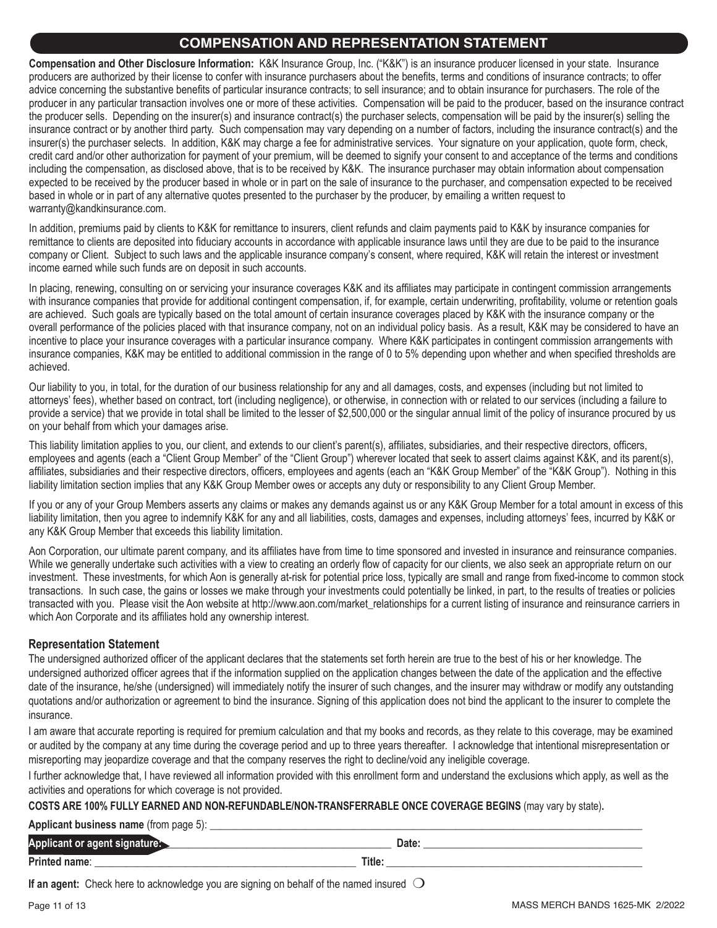### **COMPENSATION AND REPRESENTATION STATEMENT**

**Compensation and Other Disclosure Information:** K&K Insurance Group, Inc. ("K&K") is an insurance producer licensed in your state. Insurance producers are authorized by their license to confer with insurance purchasers about the benefits, terms and conditions of insurance contracts; to offer advice concerning the substantive benefits of particular insurance contracts; to sell insurance; and to obtain insurance for purchasers. The role of the producer in any particular transaction involves one or more of these activities. Compensation will be paid to the producer, based on the insurance contract the producer sells. Depending on the insurer(s) and insurance contract(s) the purchaser selects, compensation will be paid by the insurer(s) selling the insurance contract or by another third party. Such compensation may vary depending on a number of factors, including the insurance contract(s) and the insurer(s) the purchaser selects. In addition, K&K may charge a fee for administrative services. Your signature on your application, quote form, check, credit card and/or other authorization for payment of your premium, will be deemed to signify your consent to and acceptance of the terms and conditions including the compensation, as disclosed above, that is to be received by K&K. The insurance purchaser may obtain information about compensation expected to be received by the producer based in whole or in part on the sale of insurance to the purchaser, and compensation expected to be received based in whole or in part of any alternative quotes presented to the purchaser by the producer, by emailing a written request to warranty@kandkinsurance.com.

In addition, premiums paid by clients to K&K for remittance to insurers, client refunds and claim payments paid to K&K by insurance companies for remittance to clients are deposited into fiduciary accounts in accordance with applicable insurance laws until they are due to be paid to the insurance company or Client. Subject to such laws and the applicable insurance company's consent, where required, K&K will retain the interest or investment income earned while such funds are on deposit in such accounts.

In placing, renewing, consulting on or servicing your insurance coverages K&K and its affiliates may participate in contingent commission arrangements with insurance companies that provide for additional contingent compensation, if, for example, certain underwriting, profitability, volume or retention goals are achieved. Such goals are typically based on the total amount of certain insurance coverages placed by K&K with the insurance company or the overall performance of the policies placed with that insurance company, not on an individual policy basis. As a result, K&K may be considered to have an incentive to place your insurance coverages with a particular insurance company. Where K&K participates in contingent commission arrangements with insurance companies, K&K may be entitled to additional commission in the range of 0 to 5% depending upon whether and when specified thresholds are achieved.

Our liability to you, in total, for the duration of our business relationship for any and all damages, costs, and expenses (including but not limited to attorneys' fees), whether based on contract, tort (including negligence), or otherwise, in connection with or related to our services (including a failure to provide a service) that we provide in total shall be limited to the lesser of \$2,500,000 or the singular annual limit of the policy of insurance procured by us on your behalf from which your damages arise.

This liability limitation applies to you, our client, and extends to our client's parent(s), affiliates, subsidiaries, and their respective directors, officers, employees and agents (each a "Client Group Member" of the "Client Group") wherever located that seek to assert claims against K&K, and its parent(s), affiliates, subsidiaries and their respective directors, officers, employees and agents (each an "K&K Group Member" of the "K&K Group"). Nothing in this liability limitation section implies that any K&K Group Member owes or accepts any duty or responsibility to any Client Group Member.

If you or any of your Group Members asserts any claims or makes any demands against us or any K&K Group Member for a total amount in excess of this liability limitation, then you agree to indemnify K&K for any and all liabilities, costs, damages and expenses, including attorneys' fees, incurred by K&K or any K&K Group Member that exceeds this liability limitation.

Aon Corporation, our ultimate parent company, and its affiliates have from time to time sponsored and invested in insurance and reinsurance companies. While we generally undertake such activities with a view to creating an orderly flow of capacity for our clients, we also seek an appropriate return on our investment. These investments, for which Aon is generally at-risk for potential price loss, typically are small and range from fixed-income to common stock transactions. In such case, the gains or losses we make through your investments could potentially be linked, in part, to the results of treaties or policies transacted with you. Please visit the Aon website at http://www.aon.com/market\_relationships for a current listing of insurance and reinsurance carriers in which Aon Corporate and its affiliates hold any ownership interest.

### **Representation Statement**

The undersigned authorized officer of the applicant declares that the statements set forth herein are true to the best of his or her knowledge. The undersigned authorized officer agrees that if the information supplied on the application changes between the date of the application and the effective date of the insurance, he/she (undersigned) will immediately notify the insurer of such changes, and the insurer may withdraw or modify any outstanding quotations and/or authorization or agreement to bind the insurance. Signing of this application does not bind the applicant to the insurer to complete the insurance.

I am aware that accurate reporting is required for premium calculation and that my books and records, as they relate to this coverage, may be examined or audited by the company at any time during the coverage period and up to three years thereafter. I acknowledge that intentional misrepresentation or misreporting may jeopardize coverage and that the company reserves the right to decline/void any ineligible coverage.

I further acknowledge that, I have reviewed all information provided with this enrollment form and understand the exclusions which apply, as well as the activities and operations for which coverage is not provided.

**COSTS ARE 100% FULLY EARNED AND NON-REFUNDABLE/NON-TRANSFERRABLE ONCE COVERAGE BEGINS** (may vary by state)**.**

### **Applicant business name** (from page 5): \_\_\_\_\_

| Applicant or<br>anem<br>$\mathbf{u}$ yont |        | Date: |
|-------------------------------------------|--------|-------|
| <b>Printed name:</b>                      | Title: |       |

**If an agent:** Check here to acknowledge you are signing on behalf of the named insured  $\bigcirc$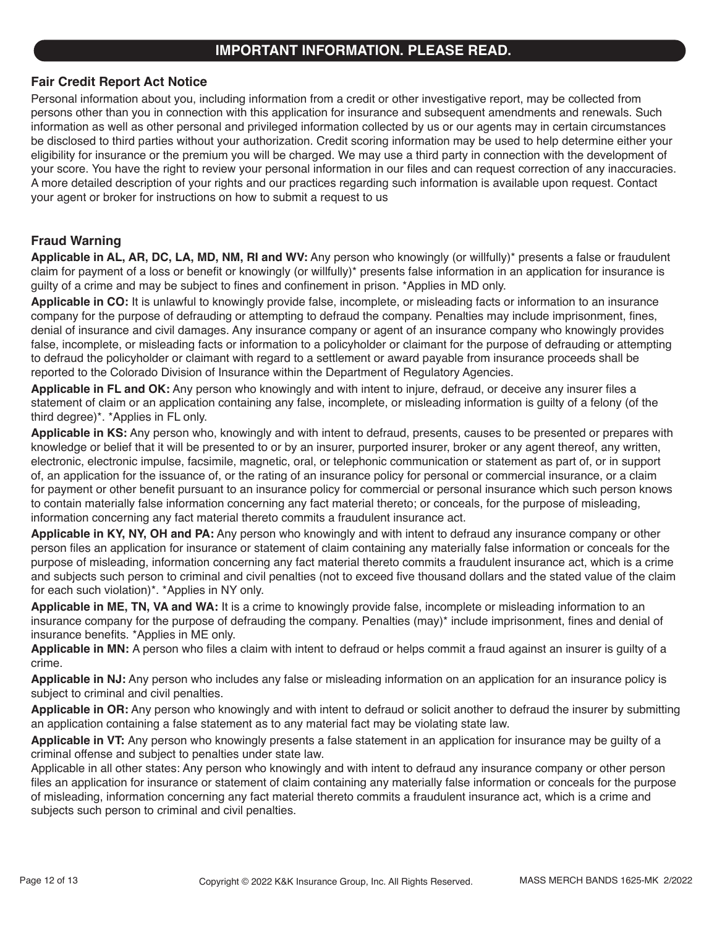### **IMPORTANT INFORMATION. PLEASE READ.**

### **Fair Credit Report Act Notice**

Personal information about you, including information from a credit or other investigative report, may be collected from persons other than you in connection with this application for insurance and subsequent amendments and renewals. Such information as well as other personal and privileged information collected by us or our agents may in certain circumstances be disclosed to third parties without your authorization. Credit scoring information may be used to help determine either your eligibility for insurance or the premium you will be charged. We may use a third party in connection with the development of your score. You have the right to review your personal information in our files and can request correction of any inaccuracies. A more detailed description of your rights and our practices regarding such information is available upon request. Contact your agent or broker for instructions on how to submit a request to us

### **Fraud Warning**

**Applicable in AL, AR, DC, LA, MD, NM, RI and WV:** Any person who knowingly (or willfully)\* presents a false or fraudulent claim for payment of a loss or benefit or knowingly (or willfully)\* presents false information in an application for insurance is guilty of a crime and may be subject to fines and confinement in prison. \*Applies in MD only.

**Applicable in CO:** It is unlawful to knowingly provide false, incomplete, or misleading facts or information to an insurance company for the purpose of defrauding or attempting to defraud the company. Penalties may include imprisonment, fines, denial of insurance and civil damages. Any insurance company or agent of an insurance company who knowingly provides false, incomplete, or misleading facts or information to a policyholder or claimant for the purpose of defrauding or attempting to defraud the policyholder or claimant with regard to a settlement or award payable from insurance proceeds shall be reported to the Colorado Division of Insurance within the Department of Regulatory Agencies.

**Applicable in FL and OK:** Any person who knowingly and with intent to injure, defraud, or deceive any insurer files a statement of claim or an application containing any false, incomplete, or misleading information is guilty of a felony (of the third degree)\*. \*Applies in FL only.

**Applicable in KS:** Any person who, knowingly and with intent to defraud, presents, causes to be presented or prepares with knowledge or belief that it will be presented to or by an insurer, purported insurer, broker or any agent thereof, any written, electronic, electronic impulse, facsimile, magnetic, oral, or telephonic communication or statement as part of, or in support of, an application for the issuance of, or the rating of an insurance policy for personal or commercial insurance, or a claim for payment or other benefit pursuant to an insurance policy for commercial or personal insurance which such person knows to contain materially false information concerning any fact material thereto; or conceals, for the purpose of misleading, information concerning any fact material thereto commits a fraudulent insurance act.

**Applicable in KY, NY, OH and PA:** Any person who knowingly and with intent to defraud any insurance company or other person files an application for insurance or statement of claim containing any materially false information or conceals for the purpose of misleading, information concerning any fact material thereto commits a fraudulent insurance act, which is a crime and subjects such person to criminal and civil penalties (not to exceed five thousand dollars and the stated value of the claim for each such violation)\*. \*Applies in NY only.

**Applicable in ME, TN, VA and WA:** It is a crime to knowingly provide false, incomplete or misleading information to an insurance company for the purpose of defrauding the company. Penalties (may)\* include imprisonment, fines and denial of insurance benefits. \*Applies in ME only.

**Applicable in MN:** A person who files a claim with intent to defraud or helps commit a fraud against an insurer is guilty of a crime.

**Applicable in NJ:** Any person who includes any false or misleading information on an application for an insurance policy is subject to criminal and civil penalties.

**Applicable in OR:** Any person who knowingly and with intent to defraud or solicit another to defraud the insurer by submitting an application containing a false statement as to any material fact may be violating state law.

**Applicable in VT:** Any person who knowingly presents a false statement in an application for insurance may be guilty of a criminal offense and subject to penalties under state law.

Applicable in all other states: Any person who knowingly and with intent to defraud any insurance company or other person files an application for insurance or statement of claim containing any materially false information or conceals for the purpose of misleading, information concerning any fact material thereto commits a fraudulent insurance act, which is a crime and subjects such person to criminal and civil penalties.